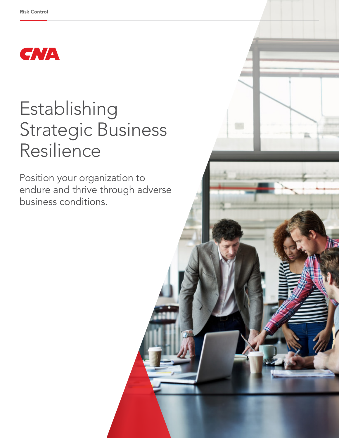

# Establishing Strategic Business Resilience

Position your organization to endure and thrive through adverse business conditions.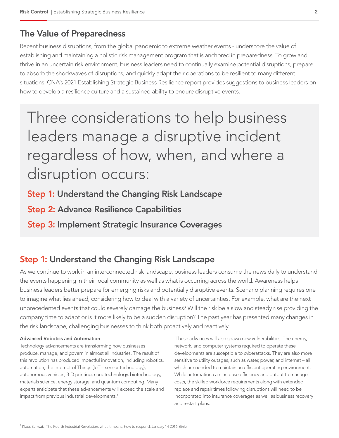## The Value of Preparedness

Recent business disruptions, from the global pandemic to extreme weather events - underscore the value of establishing and maintaining a holistic risk management program that is anchored in preparedness. To grow and thrive in an uncertain risk environment, business leaders need to continually examine potential disruptions, prepare to absorb the shockwaves of disruptions, and quickly adapt their operations to be resilient to many different situations. CNA's 2021 Establishing Strategic Business Resilience report provides suggestions to business leaders on how to develop a resilience culture and a sustained ability to endure disruptive events.

Three considerations to help business leaders manage a disruptive incident regardless of how, when, and where a disruption occurs:

Step 1: Understand the Changing Risk Landscape

Step 2: Advance Resilience Capabilities

Step 3: Implement Strategic Insurance Coverages

# Step 1: Understand the Changing Risk Landscape

As we continue to work in an interconnected risk landscape, business leaders consume the news daily to understand the events happening in their local community as well as what is occurring across the world. Awareness helps business leaders better prepare for emerging risks and potentially disruptive events. Scenario planning requires one to imagine what lies ahead, considering how to deal with a variety of uncertainties. For example, what are the next unprecedented events that could severely damage the business? Will the risk be a slow and steady rise providing the company time to adapt or is it more likely to be a sudden disruption? The past year has presented many changes in the risk landscape, challenging businesses to think both proactively and reactively.

#### Advanced Robotics and Automation

Technology advancements are transforming how businesses produce, manage, and govern in almost all industries. The result of this revolution has produced impactful innovation, including robotics, automation, the Internet of Things (IoT – sensor technology), autonomous vehicles, 3-D printing, nanotechnology, biotechnology, materials science, energy storage, and quantum computing. Many experts anticipate that these advancements will exceed the scale and impact from previous industrial developments.<sup>1</sup>

 These advances will also spawn new vulnerabilities. The energy, network, and computer systems required to operate these developments are susceptible to cyberattacks. They are also more sensitive to utility outages, such as water, power, and internet – all which are needed to maintain an efficient operating environment. While automation can increase efficiency and output to manage costs, the skilled workforce requirements along with extended replace and repair times following disruptions will need to be incorporated into insurance coverages as well as business recovery and restart plans.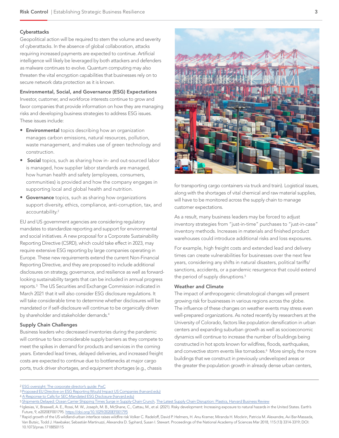#### **Cyberattacks**

Geopolitical action will be required to stem the volume and severity of cyberattacks. In the absence of global collaboration, attacks requiring increased payments are expected to continue. Artificial intelligence will likely be leveraged by both attackers and defenders as malware continues to evolve. Quantum computing may also threaten the vital encryption capabilities that businesses rely on to secure network data protection as it is known.

Environmental, Social, and Governance (ESG) Expectations Investor, customer, and workforce interests continue to grow and favor companies that provide information on how they are managing risks and developing business strategies to address ESG issues. These issues include:

- **Environmental** topics describing how an organization manages carbon emissions, natural resources, pollution, waste management, and makes use of green technology and construction.
- Social topics, such as sharing how in- and out-sourced labor is managed, how supplier labor standards are managed, how human health and safety (employees, consumers, communities) is provided and how the company engages in supporting local and global health and nutrition.
- Governance topics, such as sharing how organizations support diversity, ethics, compliance, anti-corruption, tax, and accountability.<sup>2</sup>

EU and US government agencies are considering regulatory mandates to standardize reporting and support for environmental and social initiatives. A new proposal for a Corporate Sustainability Reporting Directive (CSRD), which could take effect in 2023, may require extensive ESG reporting by large companies operating in Europe. These new requirements extend the current Non-Financial Reporting Directive, and they are proposed to include additional disclosures on strategy, governance, and resilience as well as forwardlooking sustainability targets that can be included in annual progress reports.3 The US Securities and Exchange Commission indicated in March 2021 that it will also consider ESG disclosure regulations. It will take considerable time to determine whether disclosures will be mandated or if self-disclosure will continue to be organically driven by shareholder and stakeholder demands.<sup>4</sup>

#### Supply Chain Challenges

Business leaders who decreased inventories during the pandemic will continue to face considerable supply barriers as they compete to meet the spikes in demand for products and services in the coming years. Extended lead times, delayed deliveries, and increased freight costs are expected to continue due to bottlenecks at major cargo ports, truck driver shortages, and equipment shortages (e.g., chassis



for transporting cargo containers via truck and train). Logistical issues, along with the shortages of vital chemical and raw material supplies, will have to be monitored across the supply chain to manage customer expectations.

As a result, many business leaders may be forced to adjust inventory strategies from "just-in-time" purchases to "just-in-case" inventory methods. Increases in materials and finished product warehouses could introduce additional risks and loss exposures.

For example, high freight costs and extended lead and delivery times can create vulnerabilities for businesses over the next few years, considering any shifts in natural disasters, political tariffs/ sanctions, accidents, or a pandemic resurgence that could extend the period of supply disruptions.<sup>5</sup>

#### Weather and Climate

The impact of anthropogenic climatological changes will present growing risk for businesses in various regions across the globe. The influence of these changes on weather events may stress even well-prepared organizations. As noted recently by researchers at the University of Colorado, factors like population densification in urban centers and expanding suburban growth as well as socioeconomic dynamics will continue to increase the number of buildings being constructed in hot spots known for wildfires, floods, earthquakes, and convective storm events like tornadoes.<sup>6</sup> More simply, the more buildings that we construct in previously undeveloped areas or the greater the population growth in already dense urban centers,

- 3 [Proposed EU Directive on ESG Reporting Would Impact US Companies \(harvard.edu\)](https://corpgov.law.harvard.edu/2021/06/07/proposed-eu-directive-on-esg-reporting-would-impact-us-companies/)
- 4 [A Response to Calls for SEC-Mandated ESG Disclosure \(harvard.edu\)](https://corpgov.law.harvard.edu/2021/04/05/a-response-to-calls-for-sec-mandated-esg-disclosure/)

<sup>2</sup> [ESG oversight: The corporate director's guide: PwC](https://www.pwc.com/us/en/services/governance-insights-center/library/esg-corporate-directors-guide.html)

<sup>5</sup> [Shipments Delayed: Ocean Carrier Shipping Times Surge in Supply-Chain Crunch](https://www.wsj.com/articles/shipments-delayed-ocean-carrier-shipping-times-surge-in-supply-chain-crunch-11621373426?reflink=desktopwebshare_permalink), [The Latest Supply Chain Disruption: Plastics, Harvard Business Review](https://hbr.org/2021/03/the-latest-supply-chain-disruption-plastics)

<sup>6</sup> Iglesias, V., Braswell, A. E., Rossi, M. W., Joseph, M. B., McShane, C., Cattau, M., et al. (2021). Risky development: Increasing exposure to natural hazards in the United States. Earth's Future, 9, e2020EF001795.<https://doi.org/10.1029/2020EF001795>

<sup>7</sup> Rapid growth of the US wildland-urban interface raises wildfire risk Volker C. Radeloff, David P. Helmers, H. Anu Kramer, Miranda H. Mockrin, Patricia M. Alexandre, Avi Bar-Massada, Van Butsic, Todd J. Hawbaker, Sebastián Martinuzzi, Alexandra D. Syphard, Susan I. Stewart. Proceedings of the National Academy of Sciences Mar 2018, 115 (13) 3314-3319; DOI: 10.1073/pnas.1718850115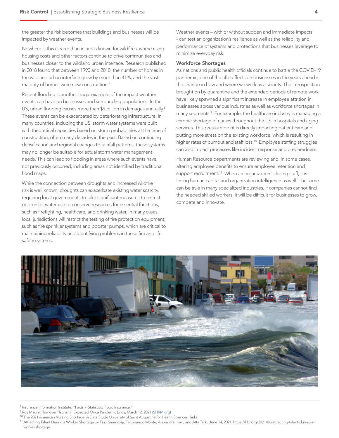the greater the risk becomes that buildings and businesses will be impacted by weather events.

Nowhere is this clearer than in areas known for wildfires, where rising housing costs and other factors continue to drive communities and businesses closer to the wildland urban interface. Research published in 2018 found that between 1990 and 2010, the number of homes in the wildland urban interface grew by more than 41%, and the vast majority of homes were new construction.<sup>7</sup>

Recent flooding is another tragic example of the impact weather events can have on businesses and surrounding populations. In the US, urban flooding causes more than \$9 billion in damages annually.<sup>8</sup> These events can be exacerbated by deteriorating infrastructure. In many countries, including the US, storm water systems were built with theoretical capacities based on storm probabilities at the time of construction, often many decades in the past. Based on continuing densification and regional changes to rainfall patterns, these systems may no longer be suitable for actual storm water management needs. This can lead to flooding in areas where such events have not previously occurred, including areas not identified by traditional flood maps.

While the connection between droughts and increased wildfire risk is well known, droughts can exacerbate existing water scarcity, requiring local governments to take significant measures to restrict or prohibit water use to conserve resources for essential functions, such as firefighting, healthcare, and drinking water. In many cases, local jurisdictions will restrict the testing of fire protection equipment, such as fire sprinkler systems and booster pumps, which are critical to maintaining reliability and identifying problems in these fire and life safety systems.

Weather events – with or without sudden and immediate impacts - can test an organization's resilience as well as the reliability and performance of systems and protections that businesses leverage to minimize everyday risk.

#### Workforce Shortages

As nations and public health officials continue to battle the COVID-19 pandemic, one of the aftereffects on businesses in the years ahead is the change in how and where we work as a society. The introspection brought on by quarantine and the extended periods of remote work have likely spawned a significant increase in employee attrition in businesses across various industries as well as workforce shortages in many segments.9 For example, the healthcare industry is managing a chronic shortage of nurses throughout the US in hospitals and aging services. This pressure point is directly impacting patient care and putting more stress on the existing workforce, which is resulting in higher rates of burnout and staff loss.<sup>10</sup> Employee staffing struggles can also impact processes like incident response and preparedness.

Human Resource departments are reviewing and, in some cases, altering employee benefits to ensure employee retention and support recruitment.<sup>11</sup> When an organization is losing staff, it is losing human capital and organization intelligence as well. The same can be true in many specialized industries. If companies cannot find the needed skilled workers, it will be difficult for businesses to grow, compete and innovate.



8 Insurance Information Institute, "Facts + Statistics: Flood Insurance."

9 Roy Maurer, Turnover 'Tsunami' Expected Once Pandemic Ends, March 12, 2021 ([SHRM.org](https://www.shrm.org/resourcesandtools/hr-topics/talent-acquisition/pages/turnover-tsunami-expected-once-pandemic-ends.aspx#:~:text=More%20than%20half%20of%20employees,and%20recruiting%20efforts%20ramp%20up))

10 The 2021 American Nursing Shortage: A Data Study, University of Saint Augustine for Health Sciences, (link)

11 Attracting Talent During a Worker Shortage by Tino Sanandaji, Ferdinando Monte, Alexandra Ham, and Atta Tarki, June 14, 2021, https://hbr.org/2021/06/attracting-talent-during-aworker-shortage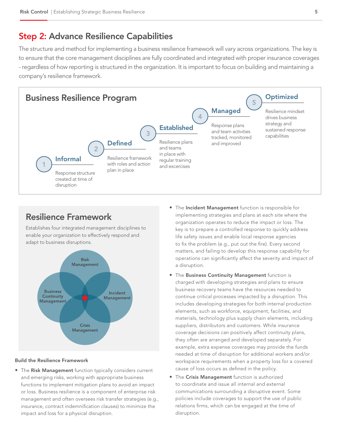### Step 2: Advance Resilience Capabilities

The structure and method for implementing a business resilience framework will vary across organizations. The key is to ensure that the core management disciplines are fully coordinated and integrated with proper insurance coverages - regardless of how reporting is structured in the organization. It is important to focus on building and maintaining a company's resilience framework.



## Resilience Framework

Establishes four integrated management disciplines to enable your organization to effectively respond and adapt to business disruptions.



#### Build the Resilience Framework

• The Risk Management function typically considers current and emerging risks, working with appropriate business functions to implement mitigation plans to avoid an impact or loss. Business resilience is a component of enterprise risk management and often oversees risk transfer strategies (e.g., insurance, contract indemnification clauses) to minimize the impact and loss for a physical disruption.

- The Incident Management function is responsible for implementing strategies and plans at each site where the organization operates to reduce the impact or loss. The key is to prepare a controlled response to quickly address life safety issues and enable local response agencies to fix the problem (e.g., put out the fire). Every second matters, and failing to develop this response capability for operations can significantly affect the severity and impact of a disruption.
- The Business Continuity Management function is charged with developing strategies and plans to ensure business recovery teams have the resources needed to continue critical processes impacted by a disruption. This includes developing strategies for both internal production elements, such as workforce, equipment, facilities, and materials, technology plus supply chain elements, including suppliers, distributors and customers. While insurance coverage decisions can positively affect continuity plans, they often are arranged and developed separately. For example, extra expense coverages may provide the funds needed at time of disruption for additional workers and/or workspace requirements when a property loss for a covered cause of loss occurs as defined in the policy.
- The Crisis Management function is authorized to coordinate and issue all internal and external communications surrounding a disruptive event. Some policies include coverages to support the use of public relations firms, which can be engaged at the time of disruption.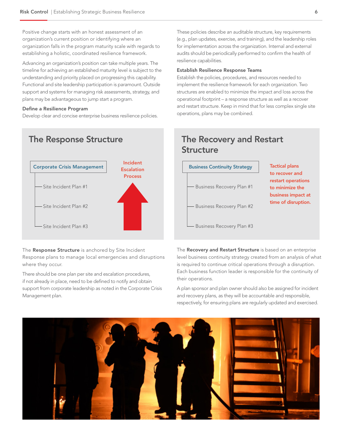Positive change starts with an honest assessment of an organization's current position or identifying where an organization falls in the program maturity scale with regards to establishing a holistic, coordinated resilience framework.

Advancing an organization's position can take multiple years. The timeline for achieving an established maturity level is subject to the understanding and priority placed on progressing this capability. Functional and site leadership participation is paramount. Outside support and systems for managing risk assessments, strategy, and plans may be advantageous to jump start a program.

#### Define a Resilience Program

Develop clear and concise enterprise business resilience policies.



The Response Structure is anchored by Site Incident Response plans to manage local emergencies and disruptions where they occur.

There should be one plan per site and escalation procedures, if not already in place, need to be defined to notify and obtain support from corporate leadership as noted in the Corporate Crisis Management plan.

These policies describe an auditable structure, key requirements (e.g., plan updates, exercise, and training), and the leadership roles for implementation across the organization. Internal and external audits should be periodically performed to confirm the health of resilience capabilities.

#### Establish Resilience Response Teams

Establish the policies, procedures, and resources needed to implement the resilience framework for each organization. Two structures are enabled to minimize the impact and loss across the operational footprint – a response structure as well as a recover and restart structure. Keep in mind that for less complex single site operations, plans may be combined.

## The Response Structure The Recovery and Restart **Structure**



The Recovery and Restart Structure is based on an enterprise level business continuity strategy created from an analysis of what is required to continue critical operations through a disruption. Each business function leader is responsible for the continuity of their operations.

A plan sponsor and plan owner should also be assigned for incident and recovery plans, as they will be accountable and responsible, respectively, for ensuring plans are regularly updated and exercised.

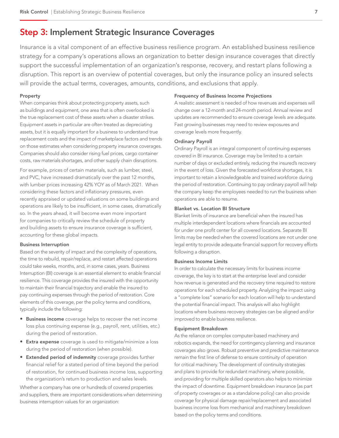## Step 3: Implement Strategic Insurance Coverages

Insurance is a vital component of an effective business resilience program. An established business resilience strategy for a company's operations allows an organization to better design insurance coverages that directly support the successful implementation of an organization's response, recovery, and restart plans following a disruption. This report is an overview of potential coverages, but only the insurance policy an insured selects will provide the actual terms, coverages, amounts, conditions, and exclusions that apply.

#### Property

When companies think about protecting property assets, such as buildings and equipment, one area that is often overlooked is the true replacement cost of these assets when a disaster strikes. Equipment assets in particular are often treated as depreciating assets, but it is equally important for a business to understand true replacement costs and the impact of marketplace factors and trends on those estimates when considering property insurance coverages. Companies should also consider rising fuel prices, cargo container costs, raw materials shortages, and other supply chain disruptions.

For example, prices of certain materials, such as lumber, steel, and PVC, have increased dramatically over the past 12 months, with lumber prices increasing 42% YOY as of March 2021. When considering these factors and inflationary pressures, even recently appraised or updated valuations on some buildings and operations are likely to be insufficient, in some cases, dramatically so. In the years ahead, it will become even more important for companies to critically review the schedule of property and building assets to ensure insurance coverage is sufficient, accounting for these global impacts.

#### Business Interruption

Based on the severity of impact and the complexity of operations, the time to rebuild, repair/replace, and restart affected operations could take weeks, months, and, in some cases, years. Business Interruption (BI) coverage is an essential element to enable financial resilience. This coverage provides the insured with the opportunity to maintain their financial trajectory and enable the insured to pay continuing expenses through the period of restoration. Core elements of this coverage, per the policy terms and conditions, typically include the following:

- Business income coverage helps to recover the net income loss plus continuing expense (e.g., payroll, rent, utilities, etc.) during the period of restoration.
- **Extra expense** coverage is used to mitigate/minimize a loss during the period of restoration (when possible).
- Extended period of indemnity coverage provides further financial relief for a stated period of time beyond the period of restoration, for continued business income loss, supporting the organization's return to production and sales levels.

Whether a company has one or hundreds of covered properties and suppliers, there are important considerations when determining business interruption values for an organization:

#### Frequency of Business Income Projections

A realistic assessment is needed of how revenues and expenses will change over a 12-month and 24-month period. Annual review and updates are recommended to ensure coverage levels are adequate. Fast growing businesses may need to review exposures and coverage levels more frequently.

#### Ordinary Payroll

Ordinary Payroll is an integral component of continuing expenses covered in BI insurance. Coverage may be limited to a certain number of days or excluded entirely, reducing the insured's recovery in the event of loss. Given the forecasted workforce shortages, it is important to retain a knowledgeable and trained workforce during the period of restoration. Continuing to pay ordinary payroll will help the company keep the employees needed to run the business when operations are able to resume.

#### Blanket vs. Location BI Structure

Blanket limits of insurance are beneficial when the insured has multiple interdependent locations where financials are accounted for under one profit center for all covered locations. Separate BI limits may be needed when the covered locations are not under one legal entity to provide adequate financial support for recovery efforts following a disruption.

#### Business Income Limits

In order to calculate the necessary limits for business income coverage, the key is to start at the enterprise level and consider how revenue is generated and the recovery time required to restore operations for each scheduled property. Analyzing the impact using a "complete loss" scenario for each location will help to understand the potential financial impact. This analysis will also highlight locations where business recovery strategies can be aligned and/or improved to enable business resilience.

#### Equipment Breakdown

As the reliance on complex computer-based machinery and robotics expands, the need for contingency planning and insurance coverages also grows. Robust preventive and predictive maintenance remain the first line of defense to ensure continuity of operation for critical machinery. The development of continuity strategies and plans to provide for redundant machinery, where possible, and providing for multiple skilled operators also helps to minimize the impact of downtime. Equipment breakdown insurance (as part of property coverages or as a standalone policy) can also provide coverage for physical damage repair/replacement and associated business income loss from mechanical and machinery breakdown based on the policy terms and conditions.